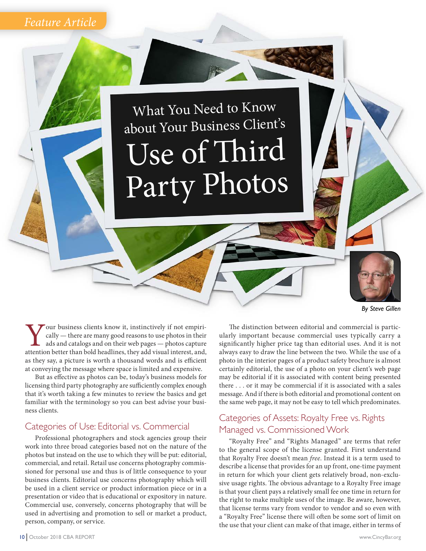## *Feature Article*

# What You Need to Know about Your Business Client's Use of Third Party Photos

Your business clients know it, instinctively if not empirically — there are many good reasons to use photos in their ads and catalogs and on their web pages — photos capture attention better than bold headlines, they add v cally — there are many good reasons to use photos in their ads and catalogs and on their web pages — photos capture as they say, a picture is worth a thousand words and is efficient at conveying the message where space is limited and expensive.

But as effective as photos can be, today's business models for licensing third party photography are sufficiently complex enough that it's worth taking a few minutes to review the basics and get familiar with the terminology so you can best advise your business clients.

#### Categories of Use: Editorial vs. Commercial

Professional photographers and stock agencies group their work into three broad categories based not on the nature of the photos but instead on the use to which they will be put: editorial, commercial, and retail. Retail use concerns photography commissioned for personal use and thus is of little consequence to your business clients. Editorial use concerns photography which will be used in a client service or product information piece or in a presentation or video that is educational or expository in nature. Commercial use, conversely, concerns photography that will be used in advertising and promotion to sell or market a product, person, company, or service.

*By Steve Gillen*

The distinction between editorial and commercial is particularly important because commercial uses typically carry a significantly higher price tag than editorial uses. And it is not always easy to draw the line between the two. While the use of a photo in the interior pages of a product safety brochure is almost certainly editorial, the use of a photo on your client's web page may be editorial if it is associated with content being presented there . . . or it may be commercial if it is associated with a sales message. And if there is both editorial and promotional content on the same web page, it may not be easy to tell which predominates.

### Categories of Assets: Royalty Free vs. Rights Managed vs. Commissioned Work

"Royalty Free" and "Rights Managed" are terms that refer to the general scope of the license granted. First understand that Royalty Free doesn't mean *free*. Instead it is a term used to describe a license that provides for an up front, one-time payment in return for which your client gets relatively broad, non-exclusive usage rights. The obvious advantage to a Royalty Free image is that your client pays a relatively small fee one time in return for the right to make multiple uses of the image. Be aware, however, that license terms vary from vendor to vendor and so even with a "Royalty Free" license there will often be some sort of limit on the use that your client can make of that image, either in terms of